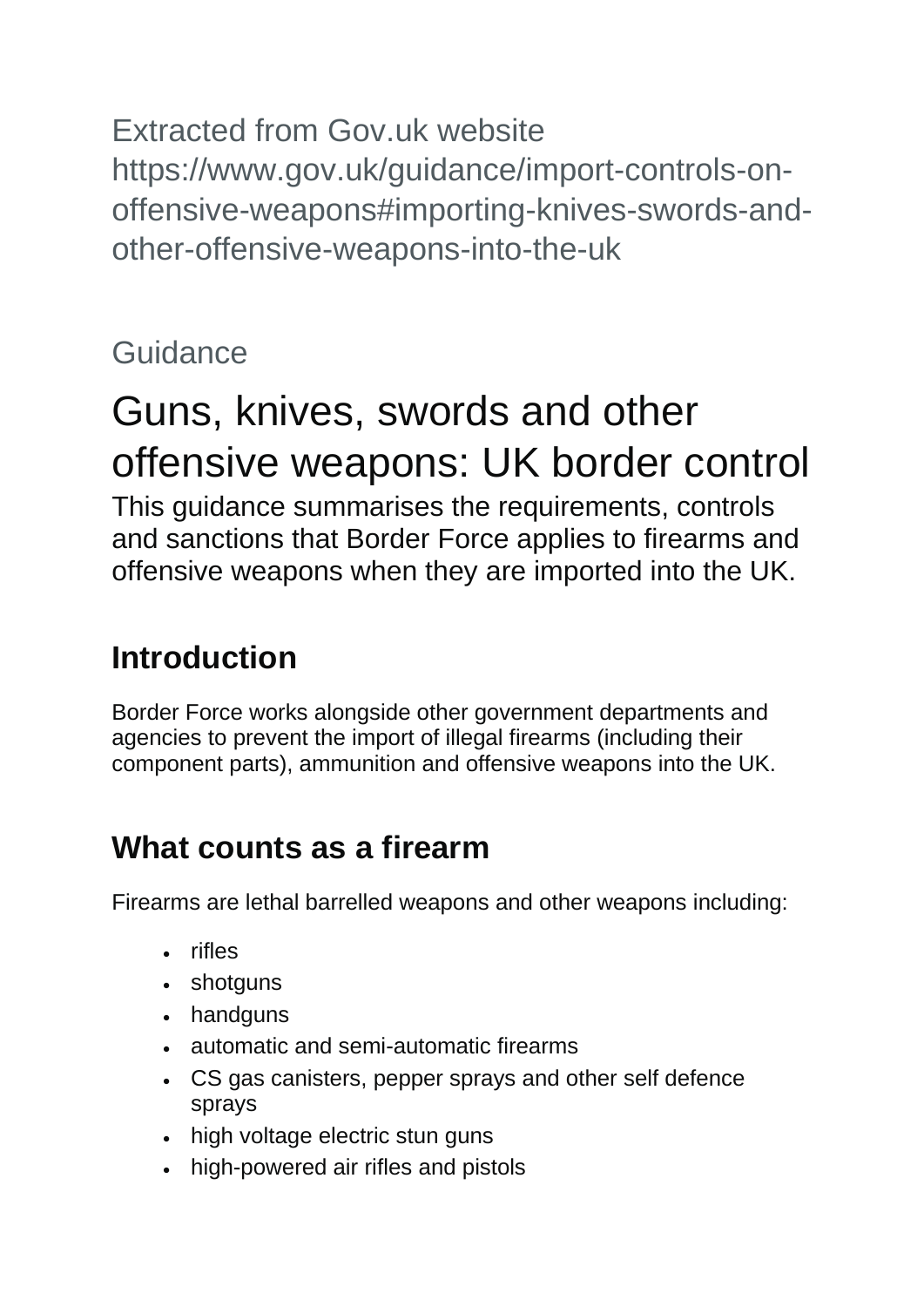Extracted from Gov.uk website https://www.gov.uk/guidance/import-controls-onoffensive-weapons#importing-knives-swords-andother-offensive-weapons-into-the-uk

# **Guidance**

# Guns, knives, swords and other offensive weapons: UK border control

This guidance summarises the requirements, controls and sanctions that Border Force applies to firearms and offensive weapons when they are imported into the UK.

# **Introduction**

Border Force works alongside other government departments and agencies to prevent the import of illegal firearms (including their component parts), ammunition and offensive weapons into the UK.

# **What counts as a firearm**

Firearms are lethal barrelled weapons and other weapons including:

- rifles
- shotguns
- handguns
- automatic and semi-automatic firearms
- CS gas canisters, pepper sprays and other self defence sprays
- high voltage electric stun guns
- high-powered air rifles and pistols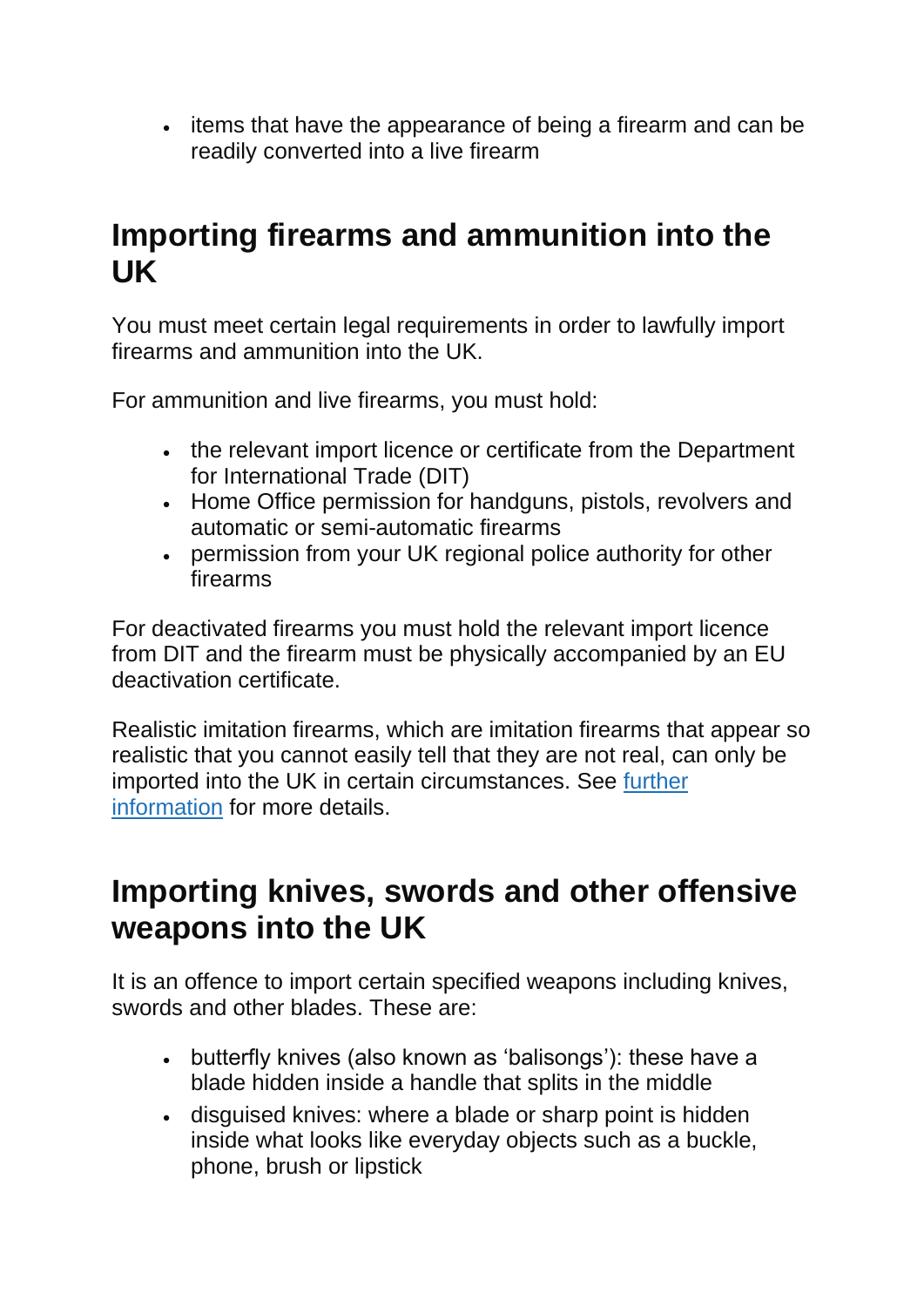• items that have the appearance of being a firearm and can be readily converted into a live firearm

#### **Importing firearms and ammunition into the UK**

You must meet certain legal requirements in order to lawfully import firearms and ammunition into the UK.

For ammunition and live firearms, you must hold:

- the relevant import licence or certificate from the Department for International Trade (DIT)
- Home Office permission for handguns, pistols, revolvers and automatic or semi-automatic firearms
- permission from your UK regional police authority for other firearms

For deactivated firearms you must hold the relevant import licence from DIT and the firearm must be physically accompanied by an EU deactivation certificate.

Realistic imitation firearms, which are imitation firearms that appear so realistic that you cannot easily tell that they are not real, can only be imported into the UK in certain circumstances. See [further](https://www.gov.uk/guidance/import-controls-on-offensive-weapons#further-information) [information](https://www.gov.uk/guidance/import-controls-on-offensive-weapons#further-information) for more details.

#### **Importing knives, swords and other offensive weapons into the UK**

It is an offence to import certain specified weapons including knives, swords and other blades. These are:

- butterfly knives (also known as 'balisongs'): these have a blade hidden inside a handle that splits in the middle
- disguised knives: where a blade or sharp point is hidden inside what looks like everyday objects such as a buckle, phone, brush or lipstick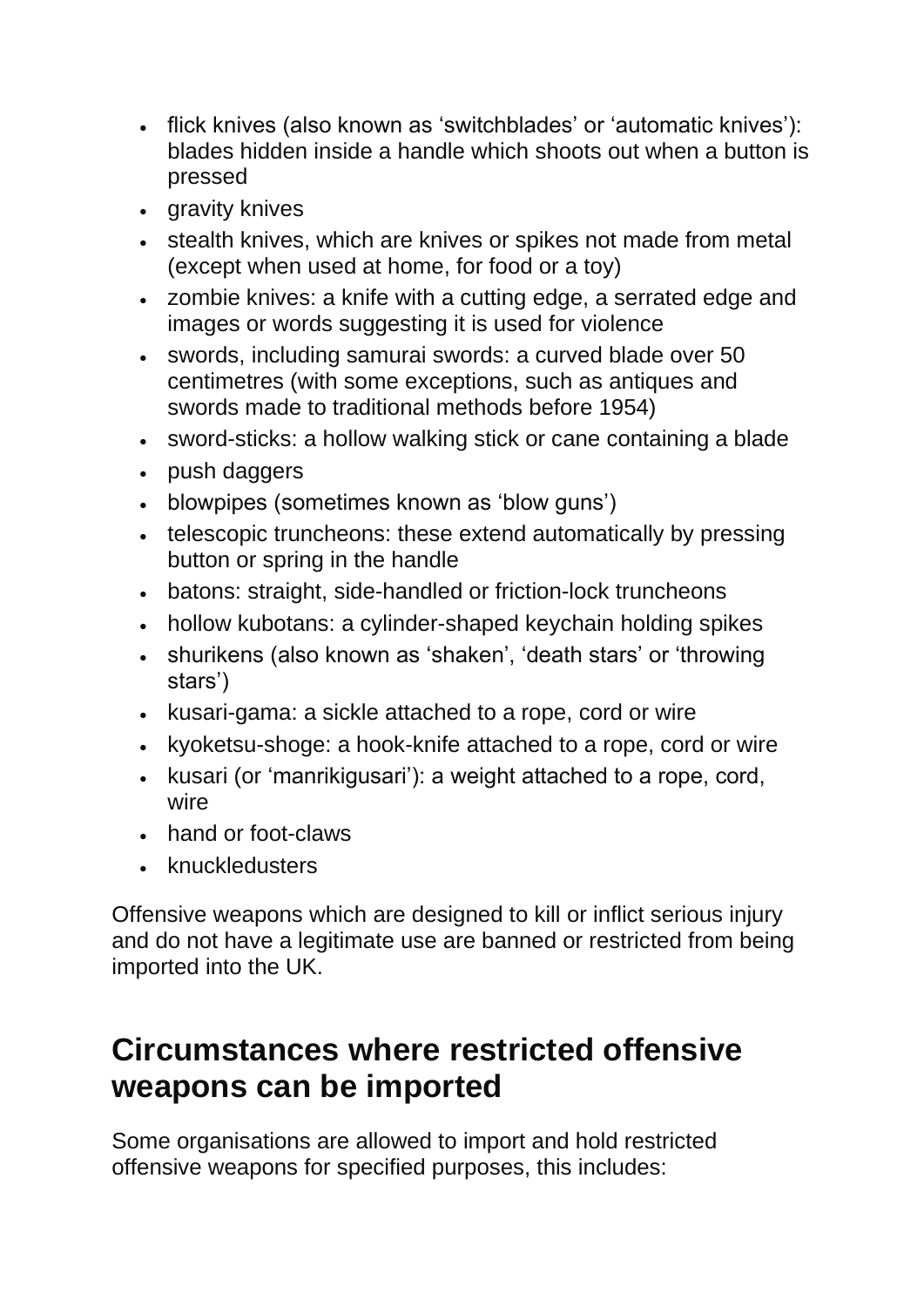- flick knives (also known as 'switchblades' or 'automatic knives'): blades hidden inside a handle which shoots out when a button is pressed
- gravity knives
- stealth knives, which are knives or spikes not made from metal (except when used at home, for food or a toy)
- zombie knives: a knife with a cutting edge, a serrated edge and images or words suggesting it is used for violence
- swords, including samurai swords: a curved blade over 50 centimetres (with some exceptions, such as antiques and swords made to traditional methods before 1954)
- sword-sticks: a hollow walking stick or cane containing a blade
- push daggers
- blowpipes (sometimes known as 'blow guns')
- telescopic truncheons: these extend automatically by pressing button or spring in the handle
- batons: straight, side-handled or friction-lock truncheons
- hollow kubotans: a cylinder-shaped keychain holding spikes
- shurikens (also known as 'shaken', 'death stars' or 'throwing stars')
- kusari-gama: a sickle attached to a rope, cord or wire
- kyoketsu-shoge: a hook-knife attached to a rope, cord or wire
- kusari (or 'manrikigusari'): a weight attached to a rope, cord, wire
- hand or foot-claws
- knuckledusters

Offensive weapons which are designed to kill or inflict serious injury and do not have a legitimate use are banned or restricted from being imported into the UK.

#### **Circumstances where restricted offensive weapons can be imported**

Some organisations are allowed to import and hold restricted offensive weapons for specified purposes, this includes: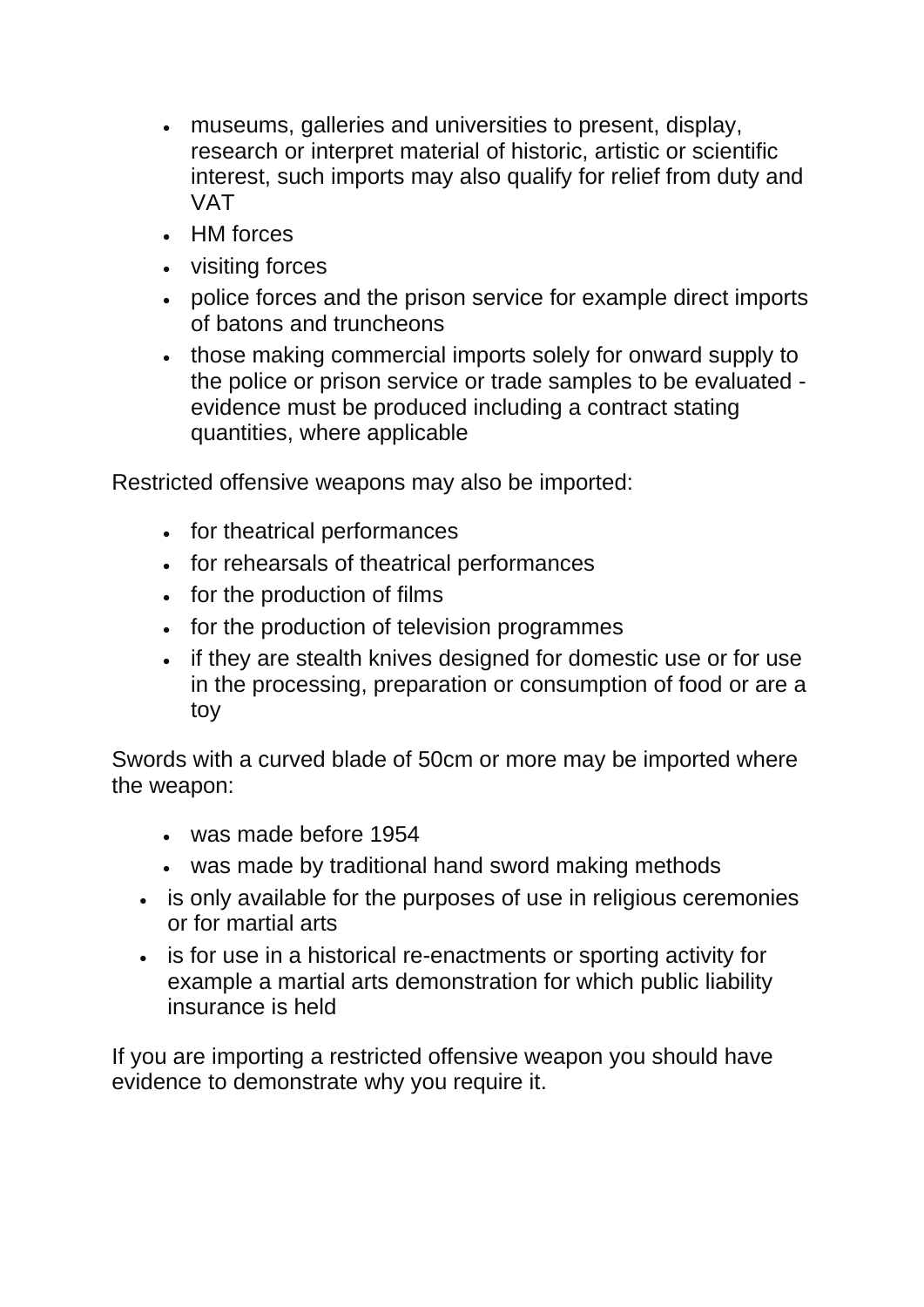- museums, galleries and universities to present, display, research or interpret material of historic, artistic or scientific interest, such imports may also qualify for relief from duty and VAT
- HM forces
- visiting forces
- police forces and the prison service for example direct imports of batons and truncheons
- those making commercial imports solely for onward supply to the police or prison service or trade samples to be evaluated evidence must be produced including a contract stating quantities, where applicable

Restricted offensive weapons may also be imported:

- for theatrical performances
- for rehearsals of theatrical performances
- for the production of films
- for the production of television programmes
- if they are stealth knives designed for domestic use or for use in the processing, preparation or consumption of food or are a toy

Swords with a curved blade of 50cm or more may be imported where the weapon:

- was made before 1954
- was made by traditional hand sword making methods
- is only available for the purposes of use in religious ceremonies or for martial arts
- is for use in a historical re-enactments or sporting activity for example a martial arts demonstration for which public liability insurance is held

If you are importing a restricted offensive weapon you should have evidence to demonstrate why you require it.